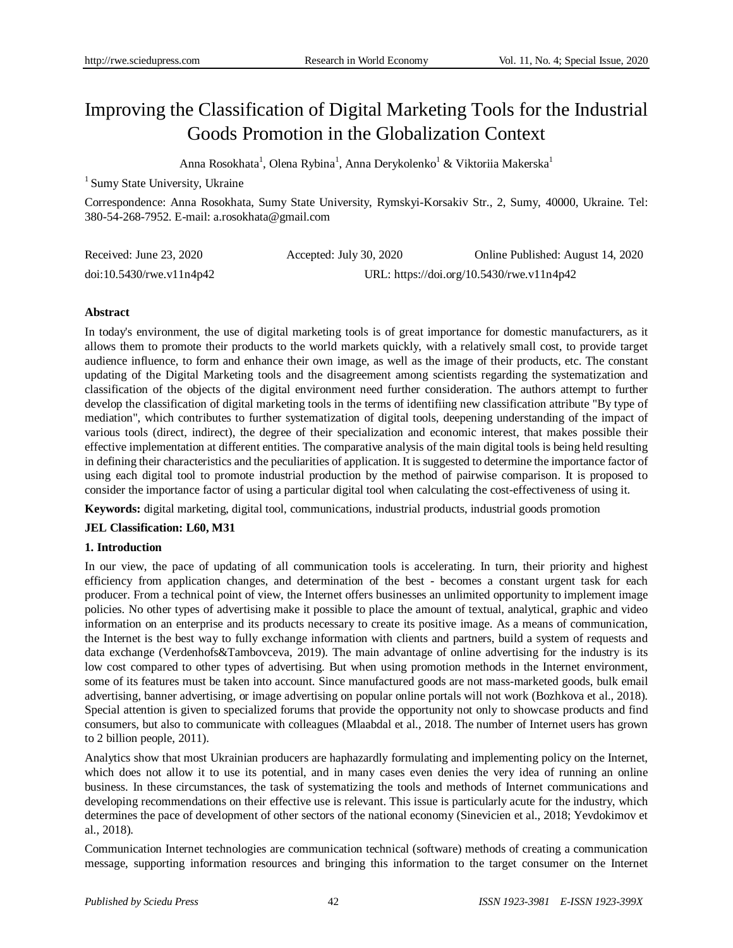# Improving the Classification of Digital Marketing Tools for the Industrial Goods Promotion in the Globalization Context

Anna Rosokhata<sup>1</sup>, Olena Rybina<sup>1</sup>, Anna Derykolenko<sup>1</sup> & Viktoriia Makerska<sup>1</sup>

<sup>1</sup> Sumy State University, Ukraine

Correspondence: Anna Rosokhata, Sumy State University, Rymskyi-Korsakiv Str., 2, Sumy, 40000, Ukraine. Tel: 380-54-268-7952. E-mail: a.rosokhata@gmail.com

| Received: June 23, 2020     | Accepted: July 30, 2020 | Online Published: August 14, 2020         |
|-----------------------------|-------------------------|-------------------------------------------|
| $doi:10.5430$ /rwe.v11n4p42 |                         | URL: https://doi.org/10.5430/rwe.v11n4p42 |

# **Abstract**

In today's environment, the use of digital marketing tools is of great importance for domestic manufacturers, as it allows them to promote their products to the world markets quickly, with a relatively small cost, to provide target audience influence, to form and enhance their own image, as well as the image of their products, etc. The constant updating of the Digital Marketing tools and the disagreement among scientists regarding the systematization and classification of the objects of the digital environment need further consideration. The authors attempt to further develop the classification of digital marketing tools in the terms of identifiing new classification attribute "By type of mediation", which contributes to further systematization of digital tools, deepening understanding of the impact of various tools (direct, indirect), the degree of their specialization and economic interest, that makes possible their effective implementation at different entities. The comparative analysis of the main digital tools is being held resulting in defining their characteristics and the peculiarities of application. It is suggested to determine the importance factor of using each digital tool to promote industrial production by the method of pairwise comparison. It is proposed to consider the importance factor of using a particular digital tool when calculating the cost-effectiveness of using it.

**Keywords:** digital marketing, digital tool, communications, industrial products, industrial goods promotion

# **JEL Classification: L60, M31**

# **1. Introduction**

In our view, the pace of updating of all communication tools is accelerating. In turn, their priority and highest efficiency from application changes, and determination of the best - becomes a constant urgent task for each producer. From a technical point of view, the Internet offers businesses an unlimited opportunity to implement image policies. No other types of advertising make it possible to place the amount of textual, analytical, graphic and video information on an enterprise and its products necessary to create its positive image. As a means of communication, the Internet is the best way to fully exchange information with clients and partners, build a system of requests and data exchange (Verdenhofs&Tambovceva, 2019). The main advantage of online advertising for the industry is its low cost compared to other types of advertising. But when using promotion methods in the Internet environment, some of its features must be taken into account. Since manufactured goods are not mass-marketed goods, bulk email advertising, banner advertising, or image advertising on popular online portals will not work (Bozhkova et al., 2018). Special attention is given to specialized forums that provide the opportunity not only to showcase products and find consumers, but also to communicate with colleagues (Mlaabdal et al., 2018. The number of Internet users has grown to 2 billion people, 2011).

Analytics show that most Ukrainian producers are haphazardly formulating and implementing policy on the Internet, which does not allow it to use its potential, and in many cases even denies the very idea of running an online business. In these circumstances, the task of systematizing the tools and methods of Internet communications and developing recommendations on their effective use is relevant. This issue is particularly acute for the industry, which determines the pace of development of other sectors of the national economy (Sinevicien et al., 2018; Yevdokimov et al., 2018).

Communication Internet technologies are communication technical (software) methods of creating a communication message, supporting information resources and bringing this information to the target consumer on the Internet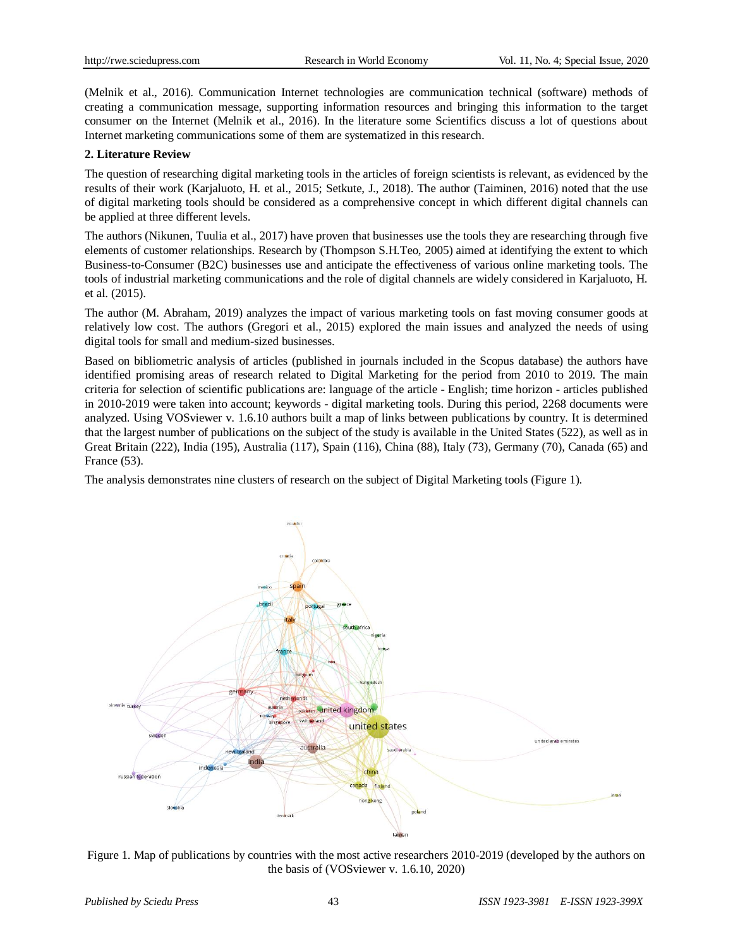(Melnik et al., 2016). Communication Internet technologies are communication technical (software) methods of creating a communication message, supporting information resources and bringing this information to the target consumer on the Internet (Melnik et al., 2016). In the literature some Scientifics discuss a lot of questions about Internet marketing communications some of them are systematized in this research.

### **2. Literature Review**

The question of researching digital marketing tools in the articles of foreign scientists is relevant, as evidenced by the results of their work (Karjaluoto, H. et al., 2015; Setkute, J., 2018). The author (Taiminen, 2016) noted that the use of digital marketing tools should be considered as a comprehensive concept in which different digital channels can be applied at three different levels.

The authors (Nikunen, Tuulia et al., 2017) have proven that businesses use the tools they are researching through five elements of customer relationships. Research by (Thompson S.H.Teo, 2005) aimed at identifying the extent to which Business-to-Consumer (B2C) businesses use and anticipate the effectiveness of various online marketing tools. The tools of industrial marketing communications and the role of digital channels are widely considered in Karjaluoto, H. et al. (2015).

The author (M. Abraham, 2019) analyzes the impact of various marketing tools on fast moving consumer goods at relatively low cost. The authors (Gregori et al., 2015) explored the main issues and analyzed the needs of using digital tools for small and medium-sized businesses.

Based on bibliometric analysis of articles (published in journals included in the Scopus database) the authors have identified promising areas of research related to Digital Marketing for the period from 2010 to 2019. The main criteria for selection of scientific publications are: language of the article - English; time horizon - articles published in 2010-2019 were taken into account; keywords - digital marketing tools. During this period, 2268 documents were analyzed. Using VOSviewer v. 1.6.10 authors built a map of links between publications by country. It is determined that the largest number of publications on the subject of the study is available in the United States (522), as well as in Great Britain (222), India (195), Australia (117), Spain (116), China (88), Italy (73), Germany (70), Canada (65) and France (53).

The analysis demonstrates nine clusters of research on the subject of Digital Marketing tools (Figure 1).



Figure 1. Map of publications by countries with the most active researchers 2010-2019 (developed by the authors on the basis of (VOSviewer v. 1.6.10, 2020)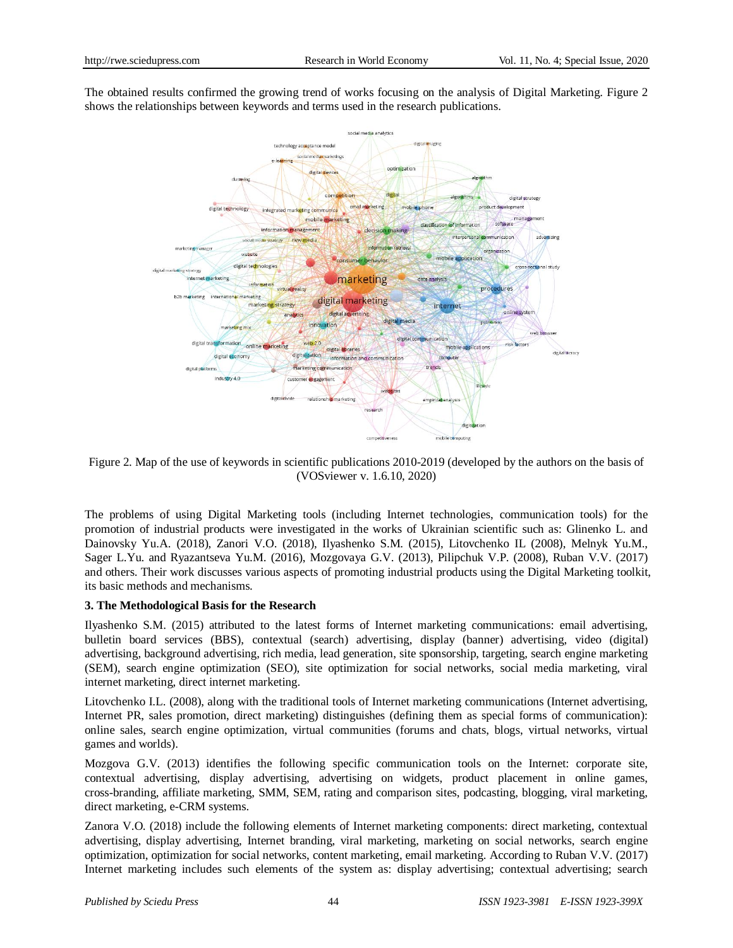The obtained results confirmed the growing trend of works focusing on the analysis of Digital Marketing. Figure 2 shows the relationships between keywords and terms used in the research publications.



Figure 2. Map of the use of keywords in scientific publications 2010-2019 (developed by the authors on the basis of (VOSviewer v. 1.6.10, 2020)

The problems of using Digital Marketing tools (including Internet technologies, communication tools) for the promotion of industrial products were investigated in the works of Ukrainian scientific such as: Glinenko L. and Dainovsky Yu.A. (2018), Zanori V.O. (2018), Ilyashenko S.M. (2015), Litovchenko IL (2008), Melnyk Yu.M., Sager L.Yu. and Ryazantseva Yu.M. (2016), Mozgovaya G.V. (2013), Pilipchuk V.P. (2008), Ruban V.V. (2017) and others. Their work discusses various aspects of promoting industrial products using the Digital Marketing toolkit, its basic methods and mechanisms.

# **3. The Methodological Basis for the Research**

Ilyashenko S.M. (2015) attributed to the latest forms of Internet marketing communications: email advertising, bulletin board services (BBS), contextual (search) advertising, display (banner) advertising, video (digital) advertising, background advertising, rich media, lead generation, site sponsorship, targeting, search engine marketing (SEM), search engine optimization (SEO), site optimization for social networks, social media marketing, viral internet marketing, direct internet marketing.

Litovchenko I.L. (2008), along with the traditional tools of Internet marketing communications (Internet advertising, Internet PR, sales promotion, direct marketing) distinguishes (defining them as special forms of communication): online sales, search engine optimization, virtual communities (forums and chats, blogs, virtual networks, virtual games and worlds).

Mozgova G.V. (2013) identifies the following specific communication tools on the Internet: corporate site, contextual advertising, display advertising, advertising on widgets, product placement in online games, cross-branding, affiliate marketing, SMM, SEM, rating and comparison sites, podcasting, blogging, viral marketing, direct marketing, e-CRM systems.

Zanora V.O. (2018) include the following elements of Internet marketing components: direct marketing, contextual advertising, display advertising, Internet branding, viral marketing, marketing on social networks, search engine optimization, optimization for social networks, content marketing, email marketing. According to Ruban V.V. (2017) Internet marketing includes such elements of the system as: display advertising; contextual advertising; search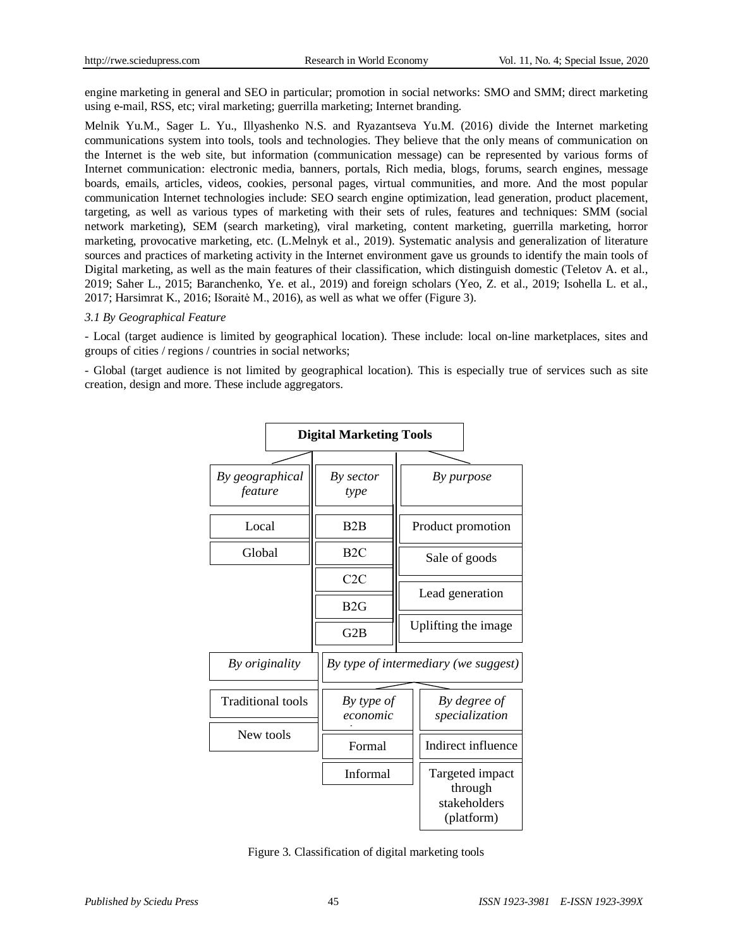engine marketing in general and SEO in particular; promotion in social networks: SMO and SMM; direct marketing using e-mail, RSS, etc; viral marketing; guerrilla marketing; Internet branding.

Melnik Yu.M., Sager L. Yu., Illyashenko N.S. and Ryazantseva Yu.M. (2016) divide the Internet marketing communications system into tools, tools and technologies. They believe that the only means of communication on the Internet is the web site, but information (communication message) can be represented by various forms of Internet communication: electronic media, banners, portals, Rich media, blogs, forums, search engines, message boards, emails, articles, videos, cookies, personal pages, virtual communities, and more. And the most popular communication Internet technologies include: SEO search engine optimization, lead generation, product placement, targeting, as well as various types of marketing with their sets of rules, features and techniques: SMM (social network marketing), SEM (search marketing), viral marketing, content marketing, guerrilla marketing, horror marketing, provocative marketing, etc. (L.Melnyk et al., 2019). Systematic analysis and generalization of literature sources and practices of marketing activity in the Internet environment gave us grounds to identify the main tools of Digital marketing, as well as the main features of their classification, which distinguish domestic (Teletov A. et al., 2019; Saher L., 2015; Baranchenko, Ye. et al., 2019) and foreign scholars (Yeo, Z. et al., 2019; Isohella L. et al., 2017; Harsimrat K., 2016; Išoraitė М., 2016), as well as what we offer (Figure 3).

### *3.1 By Geographical Feature*

- Local (target audience is limited by geographical location). These include: local on-line marketplaces, sites and groups of cities / regions / countries in social networks;

- Global (target audience is not limited by geographical location). This is especially true of services such as site creation, design and more. These include aggregators.

|                            |                                       | <b>Digital Marketing Tools</b> |               |                                                          |  |  |  |  |
|----------------------------|---------------------------------------|--------------------------------|---------------|----------------------------------------------------------|--|--|--|--|
| By geographical<br>feature |                                       | By sector<br>type              | By purpose    |                                                          |  |  |  |  |
| Local                      | B2B                                   | Product promotion              |               |                                                          |  |  |  |  |
| Global                     | B2C                                   |                                | Sale of goods |                                                          |  |  |  |  |
|                            |                                       | C2C                            |               | Lead generation                                          |  |  |  |  |
|                            |                                       | B2G                            |               |                                                          |  |  |  |  |
|                            |                                       | G2B                            |               | Uplifting the image                                      |  |  |  |  |
| By originality             |                                       |                                |               | By type of intermediary (we suggest)                     |  |  |  |  |
|                            | <b>Traditional tools</b><br>New tools |                                | By type of    | By degree of<br>specialization                           |  |  |  |  |
|                            |                                       |                                |               | Indirect influence                                       |  |  |  |  |
|                            |                                       | Informal                       |               | Targeted impact<br>through<br>stakeholders<br>(platform) |  |  |  |  |

Figure 3. Classification of digital marketing tools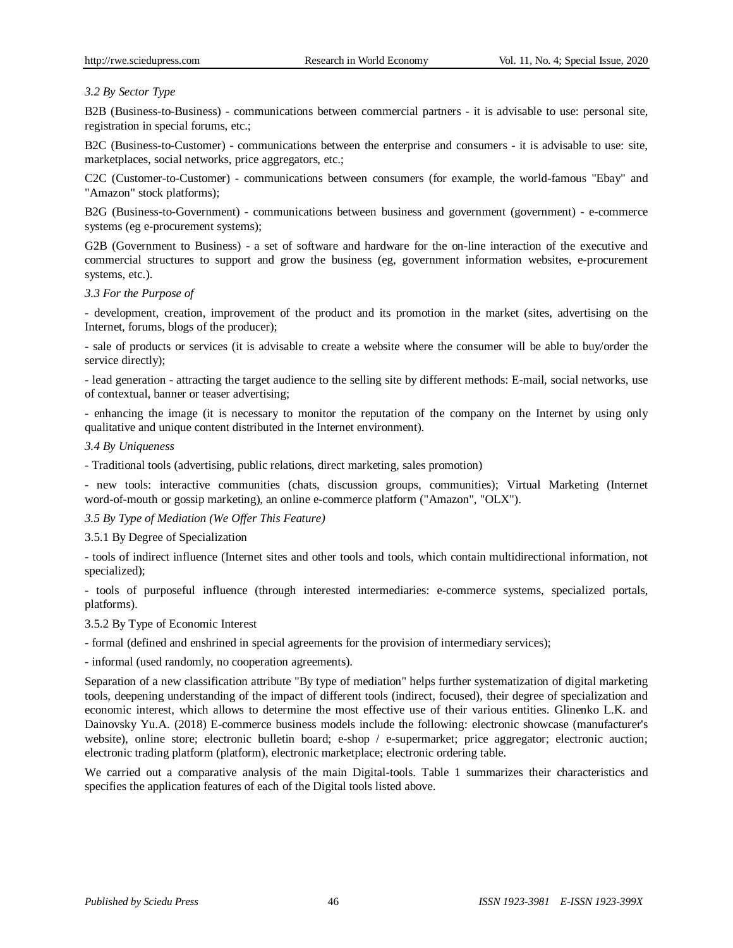# *3.2 By Sector Type*

B2B (Business-to-Business) - communications between commercial partners - it is advisable to use: personal site, registration in special forums, etc.;

B2C (Business-to-Customer) - communications between the enterprise and consumers - it is advisable to use: site, marketplaces, social networks, price aggregators, etc.;

C2C (Customer-to-Customer) - communications between consumers (for example, the world-famous "Ebay" and "Amazon" stock platforms);

B2G (Business-to-Government) - communications between business and government (government) - e-commerce systems (eg e-procurement systems);

G2B (Government to Business) - a set of software and hardware for the on-line interaction of the executive and commercial structures to support and grow the business (eg, government information websites, e-procurement systems, etc.).

#### *3.3 For the Purpose of*

- development, creation, improvement of the product and its promotion in the market (sites, advertising on the Internet, forums, blogs of the producer);

- sale of products or services (it is advisable to create a website where the consumer will be able to buy/order the service directly);

- lead generation - attracting the target audience to the selling site by different methods: E-mail, social networks, use of contextual, banner or teaser advertising;

- enhancing the image (it is necessary to monitor the reputation of the company on the Internet by using only qualitative and unique content distributed in the Internet environment).

#### *3.4 By Uniqueness*

- Traditional tools (advertising, public relations, direct marketing, sales promotion)

- new tools: interactive communities (chats, discussion groups, communities); Virtual Marketing (Internet word-of-mouth or gossip marketing), an online e-commerce platform ("Amazon", "OLX").

#### *3.5 By Type of Mediation (We Offer This Feature)*

#### 3.5.1 By Degree of Specialization

- tools of indirect influence (Internet sites and other tools and tools, which contain multidirectional information, not specialized);

- tools of purposeful influence (through interested intermediaries: e-commerce systems, specialized portals, platforms).

#### 3.5.2 By Type of Economic Interest

- formal (defined and enshrined in special agreements for the provision of intermediary services);

- informal (used randomly, no cooperation agreements).

Separation of a new classification attribute "By type of mediation" helps further systematization of digital marketing tools, deepening understanding of the impact of different tools (indirect, focused), their degree of specialization and economic interest, which allows to determine the most effective use of their various entities. Glinenko L.K. and Dainovsky Yu.A. (2018) E-commerce business models include the following: electronic showcase (manufacturer's website), online store; electronic bulletin board; e-shop / e-supermarket; price aggregator; electronic auction; electronic trading platform (platform), electronic marketplace; electronic ordering table.

We carried out a comparative analysis of the main Digital-tools. Table 1 summarizes their characteristics and specifies the application features of each of the Digital tools listed above.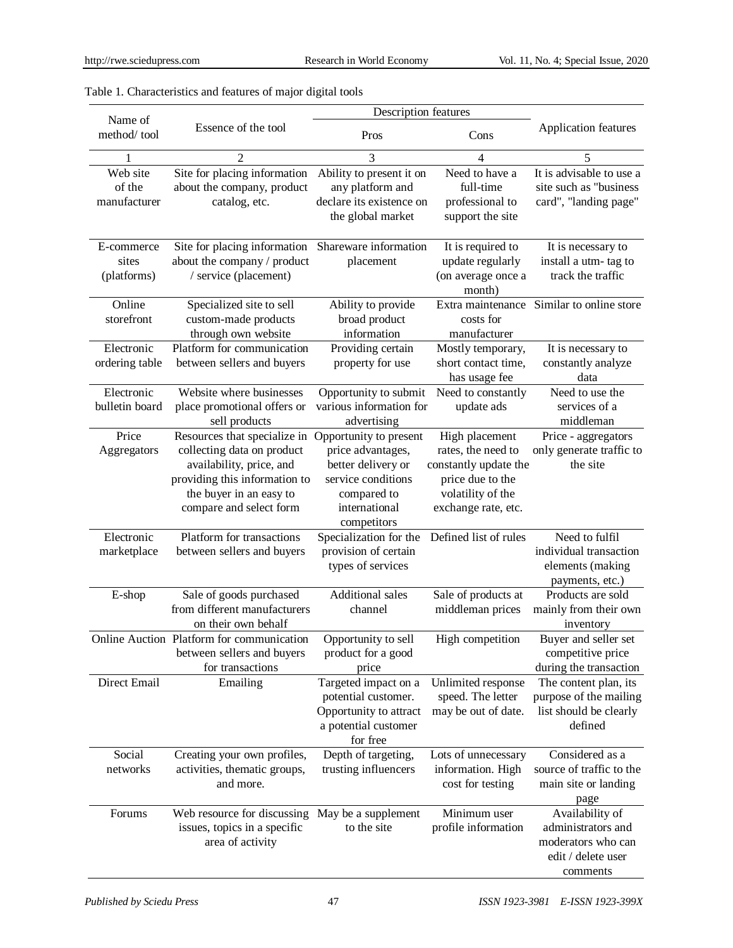|                                    |                                                                                                                                                                               | <b>Description features</b>                                                                                                            |                                                                                                                               |                                                                                               |
|------------------------------------|-------------------------------------------------------------------------------------------------------------------------------------------------------------------------------|----------------------------------------------------------------------------------------------------------------------------------------|-------------------------------------------------------------------------------------------------------------------------------|-----------------------------------------------------------------------------------------------|
| Name of<br>method/tool             | Essence of the tool                                                                                                                                                           | Pros                                                                                                                                   | Cons                                                                                                                          | Application features                                                                          |
|                                    | 2                                                                                                                                                                             | 3                                                                                                                                      | 4                                                                                                                             | 5                                                                                             |
| Web site<br>of the<br>manufacturer | Site for placing information<br>about the company, product<br>catalog, etc.                                                                                                   | Ability to present it on<br>any platform and<br>declare its existence on<br>the global market                                          | Need to have a<br>full-time<br>professional to<br>support the site                                                            | It is advisable to use a<br>site such as "business<br>card", "landing page"                   |
| E-commerce<br>sites<br>(platforms) | Site for placing information<br>about the company / product<br>/ service (placement)                                                                                          | Shareware information<br>placement                                                                                                     | It is required to<br>update regularly<br>(on average once a<br>month)                                                         | It is necessary to<br>install a utm-tag to<br>track the traffic                               |
| Online<br>storefront               | Specialized site to sell<br>custom-made products<br>through own website                                                                                                       | Ability to provide<br>broad product<br>information                                                                                     | costs for<br>manufacturer                                                                                                     | Extra maintenance Similar to online store                                                     |
| Electronic<br>ordering table       | Platform for communication<br>between sellers and buyers                                                                                                                      | Providing certain<br>property for use                                                                                                  | Mostly temporary,<br>short contact time,<br>has usage fee                                                                     | It is necessary to<br>constantly analyze<br>data                                              |
| Electronic<br>bulletin board       | Website where businesses<br>place promotional offers or<br>sell products                                                                                                      | Opportunity to submit<br>various information for<br>advertising                                                                        | Need to constantly<br>update ads                                                                                              | Need to use the<br>services of a<br>middleman                                                 |
| Price<br>Aggregators               | Resources that specialize in<br>collecting data on product<br>availability, price, and<br>providing this information to<br>the buyer in an easy to<br>compare and select form | Opportunity to present<br>price advantages,<br>better delivery or<br>service conditions<br>compared to<br>international<br>competitors | High placement<br>rates, the need to<br>constantly update the<br>price due to the<br>volatility of the<br>exchange rate, etc. | Price - aggregators<br>only generate traffic to<br>the site                                   |
| Electronic<br>marketplace          | Platform for transactions<br>between sellers and buyers                                                                                                                       | Specialization for the<br>provision of certain<br>types of services                                                                    | Defined list of rules                                                                                                         | Need to fulfil<br>individual transaction<br>elements (making<br>payments, etc.)               |
| E-shop                             | Sale of goods purchased<br>from different manufacturers<br>on their own behalf                                                                                                | <b>Additional sales</b><br>channel                                                                                                     | Sale of products at<br>middleman prices                                                                                       | Products are sold<br>mainly from their own<br>inventory                                       |
|                                    | Online Auction Platform for communication<br>between sellers and buyers<br>for transactions                                                                                   | Opportunity to sell<br>product for a good<br>price                                                                                     | High competition                                                                                                              | Buyer and seller set<br>competitive price<br>during the transaction                           |
| Direct Email                       | Emailing                                                                                                                                                                      | Targeted impact on a<br>potential customer.<br>Opportunity to attract<br>a potential customer<br>for free                              | Unlimited response<br>speed. The letter<br>may be out of date.                                                                | The content plan, its<br>purpose of the mailing<br>list should be clearly<br>defined          |
| Social<br>networks                 | Creating your own profiles,<br>activities, thematic groups,<br>and more.                                                                                                      | Depth of targeting,<br>trusting influencers                                                                                            | Lots of unnecessary<br>information. High<br>cost for testing                                                                  | Considered as a<br>source of traffic to the<br>main site or landing<br>page                   |
| Forums                             | Web resource for discussing<br>issues, topics in a specific<br>area of activity                                                                                               | May be a supplement<br>to the site                                                                                                     | Minimum user<br>profile information                                                                                           | Availability of<br>administrators and<br>moderators who can<br>edit / delete user<br>comments |

# Table 1. Characteristics and features of major digital tools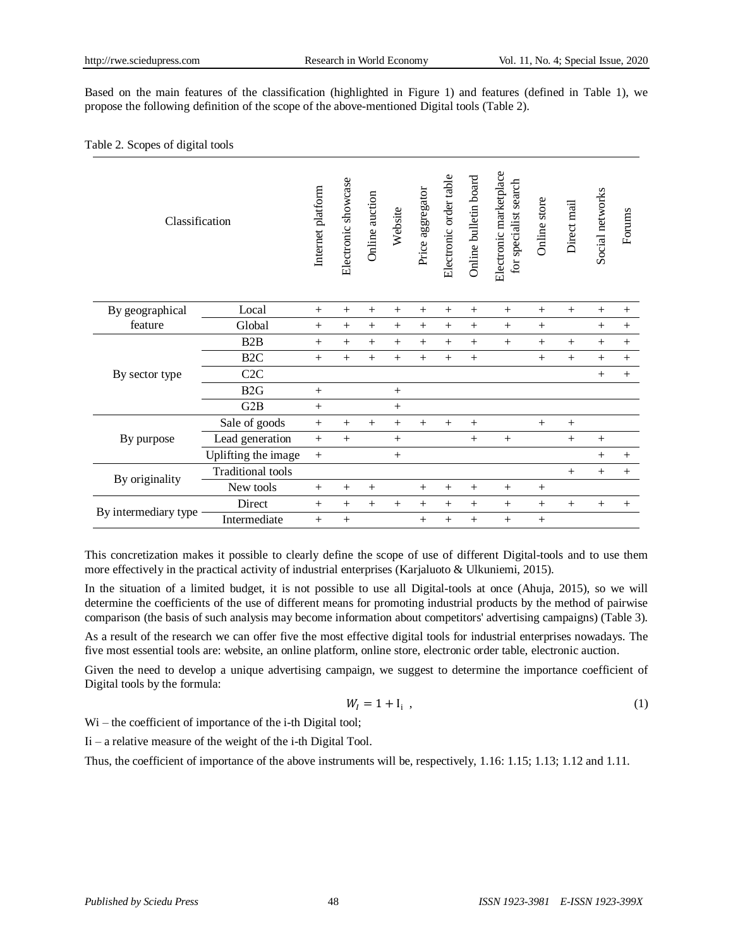Based on the main features of the classification (highlighted in Figure 1) and features (defined in Table 1), we propose the following definition of the scope of the above-mentioned Digital tools (Table 2).

# Table 2. Scopes of digital tools

| Classification       |                          |     | Electronic showcase | Online auction | Website | Price aggregator | Electronic order table | Online bulletin board | Electronic marketplace<br>for specialist search | Online store | Direct mail | Social networks | Forums |
|----------------------|--------------------------|-----|---------------------|----------------|---------|------------------|------------------------|-----------------------|-------------------------------------------------|--------------|-------------|-----------------|--------|
| By geographical      | Local                    | $+$ | $^{+}$              | $+$            | $+$     | $\pm$            | $+$                    | $+$                   | $+$                                             | $^{+}$       | $^{+}$      | $^{+}$          | $+$    |
| feature              | Global                   | $+$ | $^{+}$              | $+$            | $^{+}$  | $^{+}$           | $^{+}$                 | $+$                   | $^{+}$                                          | $+$          |             | $^{+}$          | $^{+}$ |
|                      | B <sub>2</sub> B         | $+$ | $+$                 | $+$            | $^{+}$  | $^{+}$           | $+$                    | $+$                   | $+$                                             | $+$          | $+$         | $^{+}$          | $^{+}$ |
|                      | B <sub>2</sub> C         | $+$ | $^{+}$              | $^{+}$         | $+$     | $+$              | $+$                    | $+$                   |                                                 | $^{+}$       | $+$         | $+$             | $+$    |
| By sector type       | C2C                      |     |                     |                |         |                  |                        |                       |                                                 |              |             | $^{+}$          | $^{+}$ |
|                      | B2G                      | $+$ |                     |                | $+$     |                  |                        |                       |                                                 |              |             |                 |        |
|                      | G <sub>2</sub> B         | $+$ |                     |                | $+$     |                  |                        |                       |                                                 |              |             |                 |        |
|                      | Sale of goods            | $+$ | $^{+}$              | $+$            | $+$     | $^{+}$           | $^{+}$                 | $+$                   |                                                 | $^{+}$       | $+$         |                 |        |
| By purpose           | Lead generation          | $+$ | $+$                 |                | $+$     |                  |                        | $+$                   | $+$                                             |              | $+$         | $+$             |        |
|                      | Uplifting the image      | $+$ |                     |                | $+$     |                  |                        |                       |                                                 |              |             | $^{+}$          | $+$    |
| By originality       | <b>Traditional</b> tools |     |                     |                |         |                  |                        |                       |                                                 |              | $+$         | $+$             | $^{+}$ |
|                      | New tools                | $+$ | $^{+}$              | $+$            |         | $+$              | $+$                    | $+$                   | $+$                                             | $^{+}$       |             |                 |        |
| By intermediary type | Direct                   | $+$ | $+$                 | $+$            | $+$     | $^{+}$           | $+$                    | $+$                   | $+$                                             | $+$          | $+$         | $+$             |        |
|                      | Intermediate             | $+$ | $^{+}$              |                |         | $^{+}$           | $^{+}$                 | $+$                   | $^{+}$                                          | $+$          |             |                 |        |

This concretization makes it possible to clearly define the scope of use of different Digital-tools and to use them more effectively in the practical activity of industrial enterprises (Karjaluoto & Ulkuniemi, 2015).

In the situation of a limited budget, it is not possible to use all Digital-tools at once (Ahuja, 2015), so we will determine the coefficients of the use of different means for promoting industrial products by the method of pairwise comparison (the basis of such analysis may become information about competitors' advertising campaigns) (Table 3).

As a result of the research we can offer five the most effective digital tools for industrial enterprises nowadays. The five most essential tools are: website, an online platform, online store, electronic order table, electronic auction.

Given the need to develop a unique advertising campaign, we suggest to determine the importance coefficient of Digital tools by the formula:

$$
W_I = 1 + I_i \tag{1}
$$

Wi – the coefficient of importance of the i-th Digital tool;

Іі – a relative measure of the weight of the i-th Digital Tool.

Thus, the coefficient of importance of the above instruments will be, respectively, 1.16: 1.15; 1.13; 1.12 and 1.11.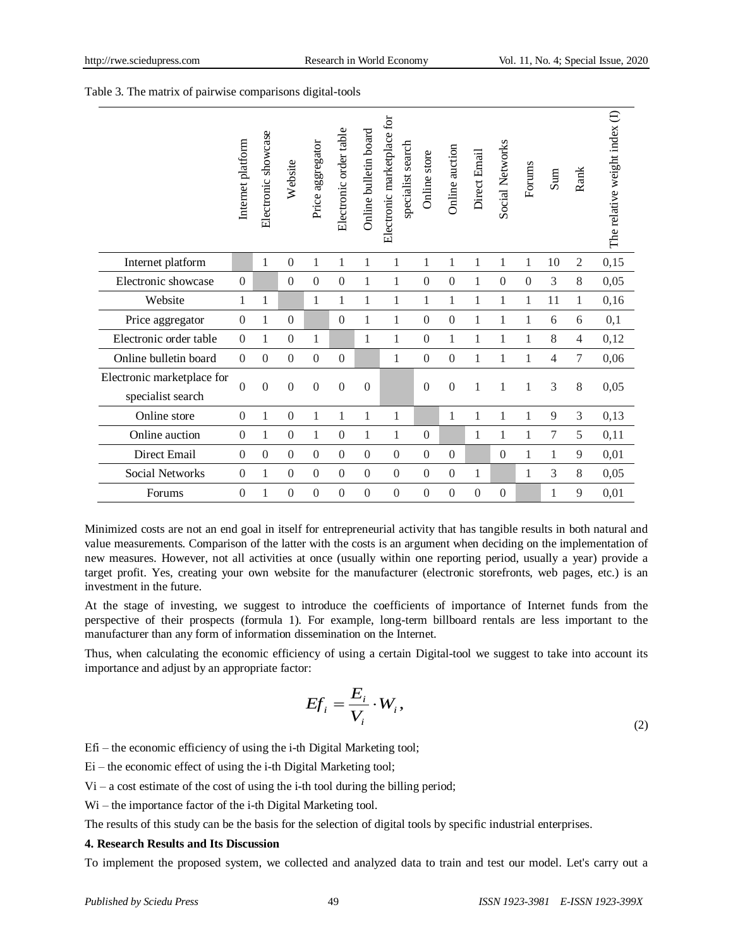|                                                                                                                                                                                                                                                                                                                                                                                                                                                                                                                                                                                                                                                                                                                                                                                                                                                                                                                                                                                                              | Internet platform | Electronic showcase | Website          | Price aggregator | Electronic order table | Online bulletin board | Electronic marketplace for<br>specialist search | Online store     | Online auction   | Direct Email     | <b>Social Networks</b> | Forums         | Sum                         | Rank             | The relative weight index (I) |  |
|--------------------------------------------------------------------------------------------------------------------------------------------------------------------------------------------------------------------------------------------------------------------------------------------------------------------------------------------------------------------------------------------------------------------------------------------------------------------------------------------------------------------------------------------------------------------------------------------------------------------------------------------------------------------------------------------------------------------------------------------------------------------------------------------------------------------------------------------------------------------------------------------------------------------------------------------------------------------------------------------------------------|-------------------|---------------------|------------------|------------------|------------------------|-----------------------|-------------------------------------------------|------------------|------------------|------------------|------------------------|----------------|-----------------------------|------------------|-------------------------------|--|
| Internet platform                                                                                                                                                                                                                                                                                                                                                                                                                                                                                                                                                                                                                                                                                                                                                                                                                                                                                                                                                                                            |                   | $\mathbf{1}$        | $\boldsymbol{0}$ | $\mathbf{1}$     | $\mathbf{1}$           | $\mathbf{1}$          | $\mathbf{1}$                                    | $\mathbf{1}$     | $\mathbf{1}$     | $\mathbf{1}$     | $\mathbf{1}$           | 1              | 10                          | $\mathfrak{2}$   | 0,15                          |  |
| Electronic showcase                                                                                                                                                                                                                                                                                                                                                                                                                                                                                                                                                                                                                                                                                                                                                                                                                                                                                                                                                                                          | $\boldsymbol{0}$  |                     | $\boldsymbol{0}$ | $\boldsymbol{0}$ | $\boldsymbol{0}$       | 1                     | 1                                               | $\boldsymbol{0}$ | $\overline{0}$   | 1                | $\boldsymbol{0}$       | $\overline{0}$ | 3                           | $8\,$            | 0,05                          |  |
| Website                                                                                                                                                                                                                                                                                                                                                                                                                                                                                                                                                                                                                                                                                                                                                                                                                                                                                                                                                                                                      | $\mathbf{1}$      | 1                   |                  | $\mathbf{1}$     | $\mathbf{1}$           | $\mathbf{1}$          | $\mathbf{1}$                                    | $\mathbf{1}$     | $\,1\,$          | $\mathbf{1}$     | $\mathbf{1}$           | $\mathbf{1}$   | 11                          | $\mathbf{1}$     | 0,16                          |  |
| Price aggregator                                                                                                                                                                                                                                                                                                                                                                                                                                                                                                                                                                                                                                                                                                                                                                                                                                                                                                                                                                                             | $\boldsymbol{0}$  | 1                   | $\boldsymbol{0}$ |                  | $\boldsymbol{0}$       | $\mathbf{1}$          | $\mathbf{1}$                                    | $\boldsymbol{0}$ | $\boldsymbol{0}$ | $\mathbf{1}$     | $\mathbf{1}$           | $\mathbf{1}$   | 6                           | 6                | 0,1                           |  |
| Electronic order table                                                                                                                                                                                                                                                                                                                                                                                                                                                                                                                                                                                                                                                                                                                                                                                                                                                                                                                                                                                       | $\overline{0}$    | 1                   | $\boldsymbol{0}$ | 1                |                        | $\mathbf{1}$          | $\mathbf{1}$                                    | $\boldsymbol{0}$ | $\mathbf{1}$     | $\mathbf{1}$     | $\mathbf{1}$           | 1              | $8\,$                       | $\overline{4}$   | 0,12                          |  |
| Online bulletin board                                                                                                                                                                                                                                                                                                                                                                                                                                                                                                                                                                                                                                                                                                                                                                                                                                                                                                                                                                                        | $\boldsymbol{0}$  | $\boldsymbol{0}$    | $\mathbf{0}$     | $\boldsymbol{0}$ | $\boldsymbol{0}$       |                       | $\mathbf{1}$                                    | $\overline{0}$   | $\boldsymbol{0}$ | $\mathbf{1}$     | $\mathbf{1}$           | $\mathbf{1}$   | $\overline{4}$              | $\boldsymbol{7}$ | 0,06                          |  |
| Electronic marketplace for<br>specialist search                                                                                                                                                                                                                                                                                                                                                                                                                                                                                                                                                                                                                                                                                                                                                                                                                                                                                                                                                              | $\boldsymbol{0}$  | $\boldsymbol{0}$    | $\boldsymbol{0}$ | $\boldsymbol{0}$ | $\boldsymbol{0}$       | $\boldsymbol{0}$      |                                                 | $\boldsymbol{0}$ | $\boldsymbol{0}$ | 1                | 1                      | $\mathbf{1}$   | $\ensuremath{\mathfrak{Z}}$ | 8                | 0,05                          |  |
| Online store                                                                                                                                                                                                                                                                                                                                                                                                                                                                                                                                                                                                                                                                                                                                                                                                                                                                                                                                                                                                 | $\boldsymbol{0}$  | $\mathbf{1}$        | $\boldsymbol{0}$ | $\mathbf{1}$     | $\mathbf{1}$           | $\mathbf{1}$          | 1                                               |                  | $\mathbf{1}$     | $\mathbf{1}$     | $\mathbf{1}$           | $\mathbf{1}$   | 9                           | 3                | 0,13                          |  |
| Online auction                                                                                                                                                                                                                                                                                                                                                                                                                                                                                                                                                                                                                                                                                                                                                                                                                                                                                                                                                                                               | $\boldsymbol{0}$  | $\mathbf{1}$        | $\boldsymbol{0}$ | $\mathbf{1}$     | $\boldsymbol{0}$       | $\mathbf{1}$          | $\mathbf{1}$                                    | $\boldsymbol{0}$ |                  | $\mathbf{1}$     | $\mathbf{1}$           | $\mathbf{1}$   | $\tau$                      | 5                | 0,11                          |  |
| Direct Email                                                                                                                                                                                                                                                                                                                                                                                                                                                                                                                                                                                                                                                                                                                                                                                                                                                                                                                                                                                                 | $\overline{0}$    | $\boldsymbol{0}$    | $\boldsymbol{0}$ | $\boldsymbol{0}$ | $\boldsymbol{0}$       | $\boldsymbol{0}$      | $\boldsymbol{0}$                                | $\boldsymbol{0}$ | $\boldsymbol{0}$ |                  | $\boldsymbol{0}$       | 1              | $\mathbf{1}$                | 9                | 0,01                          |  |
| Social Networks                                                                                                                                                                                                                                                                                                                                                                                                                                                                                                                                                                                                                                                                                                                                                                                                                                                                                                                                                                                              | $\boldsymbol{0}$  | 1                   | $\boldsymbol{0}$ | $\boldsymbol{0}$ | $\boldsymbol{0}$       | $\boldsymbol{0}$      | $\mathbf{0}$                                    | $\overline{0}$   | $\boldsymbol{0}$ | $\mathbf{1}$     |                        | $\mathbf{1}$   | $\mathfrak{Z}$              | $\,8\,$          | 0,05                          |  |
| Forums                                                                                                                                                                                                                                                                                                                                                                                                                                                                                                                                                                                                                                                                                                                                                                                                                                                                                                                                                                                                       | $\boldsymbol{0}$  | $\mathbf{1}$        | $\overline{0}$   | $\boldsymbol{0}$ | $\boldsymbol{0}$       | $\boldsymbol{0}$      | $\mathbf{0}$                                    | $\overline{0}$   | $\boldsymbol{0}$ | $\boldsymbol{0}$ | $\boldsymbol{0}$       |                | $\mathbf{1}$                | $\overline{9}$   | 0,01                          |  |
| Minimized costs are not an end goal in itself for entrepreneurial activity that has tangible results in both natural and<br>value measurements. Comparison of the latter with the costs is an argument when deciding on the implementation of<br>new measures. However, not all activities at once (usually within one reporting period, usually a year) provide a<br>target profit. Yes, creating your own website for the manufacturer (electronic storefronts, web pages, etc.) is an<br>investment in the future.<br>At the stage of investing, we suggest to introduce the coefficients of importance of Internet funds from the<br>perspective of their prospects (formula 1). For example, long-term billboard rentals are less important to the<br>manufacturer than any form of information dissemination on the Internet.<br>Thus, when calculating the economic efficiency of using a certain Digital-tool we suggest to take into account its<br>importance and adjust by an appropriate factor: |                   |                     |                  |                  |                        |                       |                                                 |                  |                  |                  |                        |                |                             |                  |                               |  |
|                                                                                                                                                                                                                                                                                                                                                                                                                                                                                                                                                                                                                                                                                                                                                                                                                                                                                                                                                                                                              |                   |                     |                  |                  |                        |                       | $E f_i = \frac{E_i}{V_i} \cdot W_i,$            |                  |                  |                  |                        |                |                             |                  | (2)                           |  |
| Efi - the economic efficiency of using the i-th Digital Marketing tool;                                                                                                                                                                                                                                                                                                                                                                                                                                                                                                                                                                                                                                                                                                                                                                                                                                                                                                                                      |                   |                     |                  |                  |                        |                       |                                                 |                  |                  |                  |                        |                |                             |                  |                               |  |
| Ei – the economic effect of using the i-th Digital Marketing tool;                                                                                                                                                                                                                                                                                                                                                                                                                                                                                                                                                                                                                                                                                                                                                                                                                                                                                                                                           |                   |                     |                  |                  |                        |                       |                                                 |                  |                  |                  |                        |                |                             |                  |                               |  |
| $Vi - a cost estimate of the cost of using the i-th tool during the billing period;$                                                                                                                                                                                                                                                                                                                                                                                                                                                                                                                                                                                                                                                                                                                                                                                                                                                                                                                         |                   |                     |                  |                  |                        |                       |                                                 |                  |                  |                  |                        |                |                             |                  |                               |  |
| Wi - the importance factor of the i-th Digital Marketing tool.                                                                                                                                                                                                                                                                                                                                                                                                                                                                                                                                                                                                                                                                                                                                                                                                                                                                                                                                               |                   |                     |                  |                  |                        |                       |                                                 |                  |                  |                  |                        |                |                             |                  |                               |  |
| The results of this study can be the basis for the selection of digital tools by specific industrial enterprises.                                                                                                                                                                                                                                                                                                                                                                                                                                                                                                                                                                                                                                                                                                                                                                                                                                                                                            |                   |                     |                  |                  |                        |                       |                                                 |                  |                  |                  |                        |                |                             |                  |                               |  |
| 4. Research Results and Its Discussion                                                                                                                                                                                                                                                                                                                                                                                                                                                                                                                                                                                                                                                                                                                                                                                                                                                                                                                                                                       |                   |                     |                  |                  |                        |                       |                                                 |                  |                  |                  |                        |                |                             |                  |                               |  |
| To implement the proposed system, we collected and analyzed data to train and test our model. Let's carry out a                                                                                                                                                                                                                                                                                                                                                                                                                                                                                                                                                                                                                                                                                                                                                                                                                                                                                              |                   |                     |                  |                  |                        |                       |                                                 |                  |                  |                  |                        |                |                             |                  |                               |  |

#### Table 3. The matrix of pairwise comparisons digital-tools

$$
Ef_i = \frac{E_i}{V_i} \cdot W_i,
$$
\n<sup>(2)</sup>

#### **4. Research Results and Its Discussion**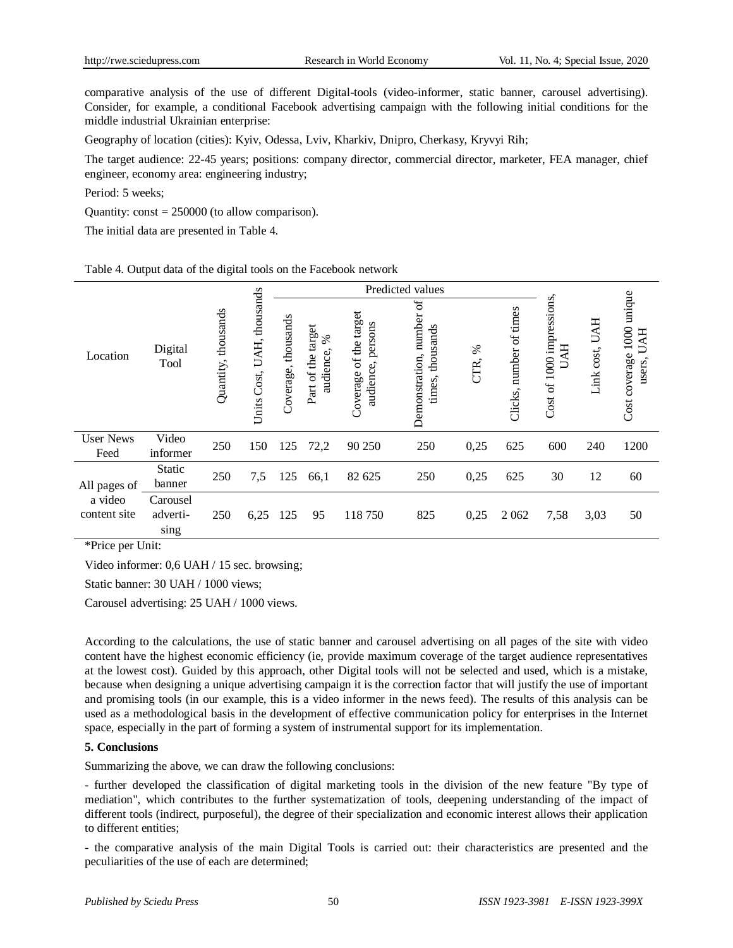comparative analysis of the use of different Digital-tools (video-informer, static banner, carousel advertising). Consider, for example, a conditional Facebook advertising campaign with the following initial conditions for the middle industrial Ukrainian enterprise:

Geography of location (cities): Kyiv, Odessa, Lviv, Kharkiv, Dnipro, Cherkasy, Kryvyi Rih;

The target audience: 22-45 years; positions: company director, commercial director, marketer, FEA manager, chief engineer, economy area: engineering industry;

Period: 5 weeks;

Quantity:  $const = 250000$  (to allow comparison).

The initial data are presented in Table 4.

| Table 4. Output data of the digital tools on the Facebook network |  |  |  |
|-------------------------------------------------------------------|--|--|--|
|                                                                   |  |  |  |

| Location                 | Digital<br>Tool              | Quantity, thousands | thousands<br>UAH,<br>Units Cost, | thousands<br>Coverage, | Part of the target<br>℅<br>audience, | Coverage of the target<br>audience, persons | ď<br>Demonstration, number<br>thousands<br>times, | $\%$<br>CTR, | Clicks, number of times | Cost of 1000 impressions,<br><b>UAH</b> | Link cost, UAH | unique<br>1000<br>AH<br>Ξ<br>Cost coverage<br>users, |
|--------------------------|------------------------------|---------------------|----------------------------------|------------------------|--------------------------------------|---------------------------------------------|---------------------------------------------------|--------------|-------------------------|-----------------------------------------|----------------|------------------------------------------------------|
| <b>User News</b><br>Feed | Video<br>informer            | 250                 | 150                              | 125                    | 72,2                                 | 90 250                                      | 250                                               | 0,25         | 625                     | 600                                     | 240            | 1200                                                 |
| All pages of             | Static<br>banner             | 250                 | 7,5                              | 125                    | 66,1                                 | 82 625                                      | 250                                               | 0,25         | 625                     | 30                                      | 12             | 60                                                   |
| a video<br>content site  | Carousel<br>adverti-<br>sing | 250                 | 6,25                             | 125                    | 95                                   | 118 750                                     | 825                                               | 0,25         | 2 0 6 2                 | 7,58                                    | 3,03           | 50                                                   |

\*Price per Unit:

Video informer: 0,6 UAH / 15 sec. browsing;

Static banner: 30 UAH / 1000 views;

Carousel advertising: 25 UAH / 1000 views.

According to the calculations, the use of static banner and carousel advertising on all pages of the site with video content have the highest economic efficiency (ie, provide maximum coverage of the target audience representatives at the lowest cost). Guided by this approach, other Digital tools will not be selected and used, which is a mistake, because when designing a unique advertising campaign it is the correction factor that will justify the use of important and promising tools (in our example, this is a video informer in the news feed). The results of this analysis can be used as a methodological basis in the development of effective communication policy for enterprises in the Internet space, especially in the part of forming a system of instrumental support for its implementation.

# **5. Conclusions**

Summarizing the above, we can draw the following conclusions:

- further developed the classification of digital marketing tools in the division of the new feature "By type of mediation", which contributes to the further systematization of tools, deepening understanding of the impact of different tools (indirect, purposeful), the degree of their specialization and economic interest allows their application to different entities;

- the comparative analysis of the main Digital Tools is carried out: their characteristics are presented and the peculiarities of the use of each are determined;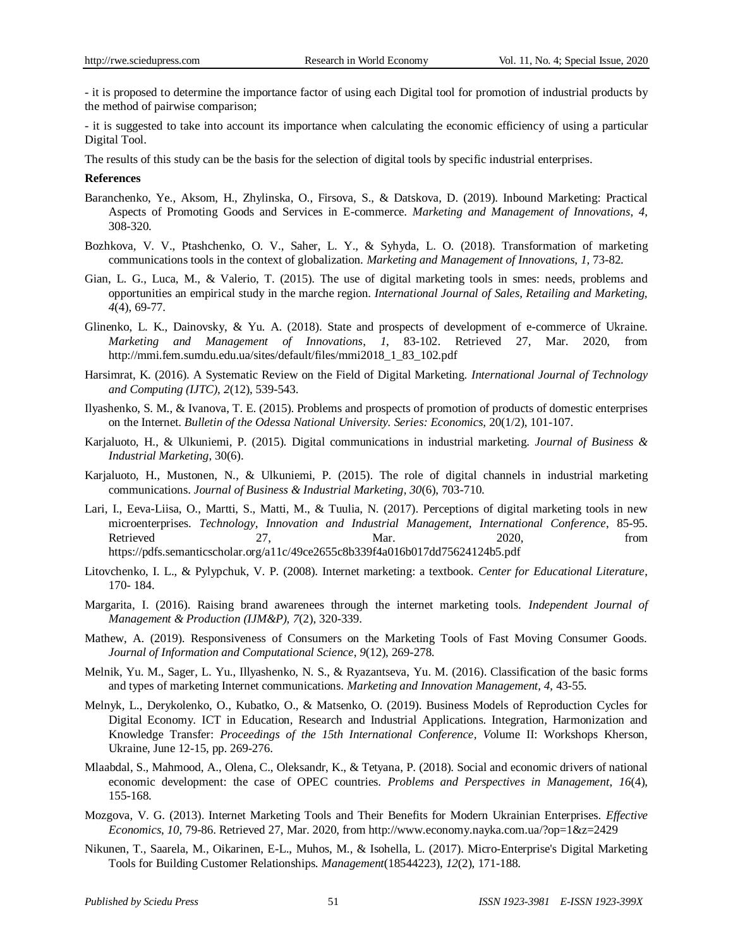- it is proposed to determine the importance factor of using each Digital tool for promotion of industrial products by the method of pairwise comparison;

- it is suggested to take into account its importance when calculating the economic efficiency of using a particular Digital Tool.

The results of this study can be the basis for the selection of digital tools by specific industrial enterprises.

#### **References**

- Baranchenko, Ye., Aksom, H., Zhylinska, O., Firsova, S., & Datskova, D. (2019). Inbound Marketing: Practical Aspects of Promoting Goods and Services in E-commerce. *Marketing and Management of Innovations*, *4*, 308-320.
- Bozhkova, V. V., Ptashchenko, O. V., Saher, L. Y., & Syhyda, L. O. (2018). Transformation of marketing communications tools in the context of globalization. *Marketing and Management of Innovations*, *1*, 73-82.
- Gian, L. G., Luca, M., & Valerio, T. (2015). The use of digital marketing tools in smes: needs, problems and opportunities an empirical study in the marche region. *International Journal of Sales, Retailing and Marketing, 4*(4), 69-77.
- Glinenko, L. K., Dainovsky, & Yu. A. (2018). State and prospects of development of e-commerce of Ukraine. *Marketing and Management of Innovations*, *1*, 83-102. Retrieved 27, Mar. 2020, from [http://mmi.fem.sumdu.edu.ua/sites/default/files/mmi2018\\_1\\_83\\_102.pdf](http://mmi.fem.sumdu.edu.ua/sites/default/files/mmi2018_1_83_102.pdf)
- Harsimrat, K. (2016). A Systematic Review on the Field of Digital Marketing. *International Journal of Technology and Computing (IJTC)*, *2*(12), 539-543.
- Ilyashenko, S. M., & Ivanova, T. E. (2015). Problems and prospects of promotion of products of domestic enterprises on the Internet. *Bulletin of the Odessa National University. Series: Economics,* 20(1/2), 101-107.
- Karjaluoto, H., & Ulkuniemi, P. (2015). Digital communications in industrial marketing. *Journal of Business & Industrial Marketing*, 30(6).
- Karjaluoto, H., Mustonen, N., & Ulkuniemi, P. (2015). The role of digital channels in industrial marketing communications. *Journal of Business & Industrial Marketing*, *30*(6), 703-710.
- Lari, I., Eeva-Liisa, O., Martti, S., Matti, M., & Tuulia, N. (2017). Perceptions of digital marketing tools in new microenterprises. *Technology, Innovation and Industrial Management, International Conference*, 85-95. Retrieved 27, Mar. 2020, from <https://pdfs.semanticscholar.org/a11c/49ce2655c8b339f4a016b017dd75624124b5.pdf>
- Litovchenko, I. L., & Pylypchuk, V. P. (2008). Internet marketing: a textbook. *Center for Educational Literature*, 170- 184.
- Margarita, I. (2016). Raising brand awarenees through the internet marketing tools. *Independent Journal of Management & Production (IJM&P), 7*(2), 320-339.
- Mathew, A. (2019). Responsiveness of Consumers on the Marketing Tools of Fast Moving Consumer Goods. *Journal of Information and Computational Science*, *9*(12), 269-278.
- Melnik, Yu. M., Sager, L. Yu., Illyashenko, N. S., & Ryazantseva, Yu. M. (2016). Classification of the basic forms and types of marketing Internet communications. *Marketing and Innovation Management, 4*, 43-55.
- Melnyk, L., Derykolenko, O., Kubatko, O., & Matsenko, O. (2019). Business Models of Reproduction Cycles for Digital Economy. ICT in Education, Research and Industrial Applications. Integration, Harmonization and Knowledge Transfer: *Proceedings of the 15th International Conference, V*olume II: Workshops Kherson, Ukraine, June 12-15, pp. 269-276.
- Mlaabdal, S., Mahmood, A., Olena, C., Oleksandr, K., & Tetyana, P. (2018). Social and economic drivers of national economic development: the case of OPEC countries. *Problems and Perspectives in Management*, *16*(4), 155-168.
- Mozgova, V. G. (2013). Internet Marketing Tools and Their Benefits for Modern Ukrainian Enterprises. *Effective Economics*, *10,* 79-86. Retrieved 27, Mar. 2020, from <http://www.economy.nayka.com.ua/?op=1&z=2429>
- Nikunen, T., Saarela, M., Oikarinen, E-L., Muhos, M., & Isohella, L. (2017). Micro-Enterprise's Digital Marketing Tools for Building Customer Relationships. *Management*(18544223), *12*(2), 171-188.